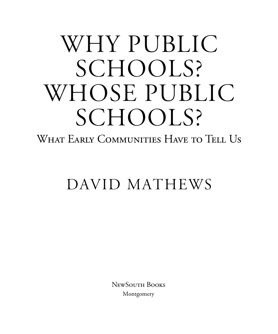# Why Public SCHOOLS? Whose Public Schools?

WHAT EARLY COMMUNITIES HAVE TO TELL US

# DAVID MATHEWS

NewSouth Books Montgomery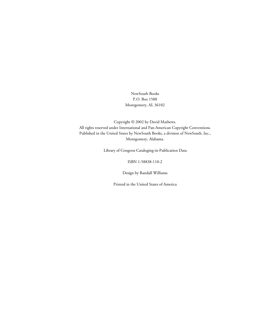NewSouth Books P.O. Box 1588 Montgomery, AL 36102

Copyright © 2002 by David Mathews. All rights reserved under International and Pan-American Copyright Conventions. Published in the United States by NewSouth Books, a division of NewSouth, Inc., Montgomery, Alabama.

Library of Congress Cataloging-in-Publication Data

ISBN 1-58838-110-2

Design by Randall Williams

Printed in the United States of America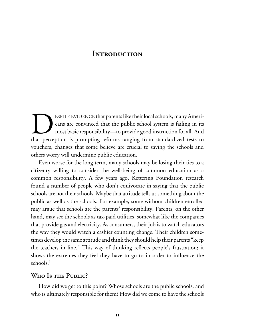# **Introduction**

ESPITE EVIDENCE that parents like their local schools, many Americans are convinced that the public school system is failing in its most basic responsibility—to provide good instruction for all. And that perception is prom ESPITE EVIDENCE that parents like their local schools, many Americans are convinced that the public school system is failing in its most basic responsibility—to provide good instruction for all. And vouchers, changes that some believe are crucial to saving the schools and others worry will undermine public education.

Even worse for the long term, many schools may be losing their ties to a citizenry willing to consider the well-being of common education as a common responsibility. A few years ago, Kettering Foundation research found a number of people who don't equivocate in saying that the public schools are not their schools. Maybe that attitude tells us something about the public as well as the schools. For example, some without children enrolled may argue that schools are the parents' responsibility. Parents, on the other hand, may see the schools as tax-paid utilities, somewhat like the companies that provide gas and electricity. As consumers, their job is to watch educators the way they would watch a cashier counting change. Their children sometimes develop the same attitude and think they should help their parents "keep the teachers in line." This way of thinking reflects people's frustration; it shows the extremes they feel they have to go to in order to influence the schools.<sup>1</sup>

#### **Who Is the Public?**

How did we get to this point? Whose schools are the public schools, and who is ultimately responsible for them? How did we come to have the schools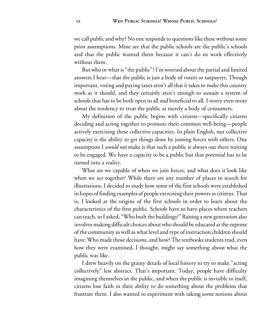we call public and why? No one responds to questions like these without some prior assumptions. Mine are that the public schools are the public's schools and that the public wanted them because it can't do its work effectively without them.

But who or what is "the public"? I'm worried about the partial and limited answers I hear—that the public is just a body of voters or taxpayers. Though important, voting and paying taxes aren't all that it takes to make this country work as it should, and they certainly aren't enough to sustain a system of schools that has to be both open to all and beneficial to all. I worry even more about the tendency to treat the public as merely a body of consumers.

My definition of the public begins with citizens—specifically citizens deciding and acting together to promote their common well-being—people actively exercising these collective capacities. In plain English, our collective capacity is the ability to get things done by joining forces with others. One assumption I *would not* make is that such a public is always out there waiting to be engaged. We have a capacity to be a public but that potential has to be turned into a reality.

What are we capable of when we join forces, and what does it look like when we act together? While there are any number of places to search for illustrations, I decided to study how some of the first schools were established in hopes of finding examples of people exercising their powers as citizens. That is, I looked at the origins of the first schools in order to learn about the characteristics of the first public. Schools have to have places where teachers can teach, so I asked, "Who built the buildings?" Raising a new generation also involves making difficult choices about who should be educated at the expense of the community as well as what level and type of instruction children should have. Who made those decisions, and how? The textbooks students read, even how they were examined, I thought, might say something about what the public was like.

I drew heavily on the grainy details of local history to try to make "acting collectively" less abstract. That's important. Today, people have difficulty imagining themselves in the public, and when the public is invisible to itself, citizens lose faith in their ability to do something about the problems that frustrate them. I also wanted to experiment with taking some notions about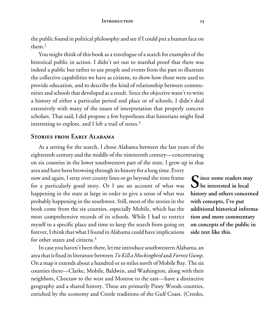the public found in political philosophy and see if I could put a human face on them.<sup>2</sup>

You might think of this book as a travelogue of a search for examples of the historical public in action. I didn't set out to marshal proof that there was indeed a public but rather to use people and events from the past to illustrate the collective capabilities we have as citizens, to show how those were used to provide education, and to describe the kind of relationship between communities and schools that developed as a result. Since the objective wasn't to write a history of either a particular period and place or of schools, I didn't deal extensively with many of the issues of interpretation that properly concern scholars. That said, I did propose a few hypotheses that historians might find interesting to explore, and I left a trail of notes.<sup>3</sup>

### **Stories from Early Alabama**

As a setting for the search, I chose Alabama between the last years of the eighteenth century and the middle of the nineteenth century—concentrating on six counties in the lower southwestern part of the state. I grew up in that area and have been browsing through its history for a long time. Every now and again, I stray over county lines or go beyond the time frame for a particularly good story. Or I use an account of what was happening in the state at large in order to give a sense of what was probably happening in the southwest. Still, most of the stories in the book come from the six counties, especially Mobile, which has the most comprehensive records of its schools. While I had to restrict myself to a specific place and time to keep the search from going on forever, I think that what I found in Alabama could have implications for other states and citizens.<sup>4</sup>

In case you haven't been there, let me introduce southwestern Alabama, an area that is fixed in literature between *To Kill a Mockingbird* and *Forrest Gump*. On a map it extends about a hundred or so miles north of Mobile Bay. The six counties there—Clarke, Mobile, Baldwin, and Washington, along with their neighbors, Choctaw to the west and Monroe to the east—have a distinctive geography and a shared history. These are primarily Piney Woods counties, enriched by the economy and Creole traditions of the Gulf Coast. (Creoles,

S ince some readers may<br>
be interested in local **b**e interested in local **history and others concerned with concepts, I've put additional historical information and more commentary on concepts of the public in side text like this.**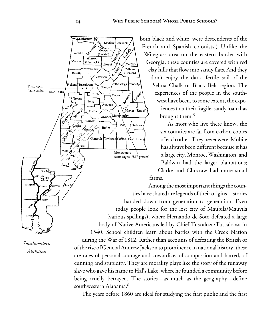Figure Mad<br>
Rorgan (Cotaco) Lauderdale Madison Jackson Leed of **Randorf Ro** Franklin Winston Marion (Hancock) Blount .<br>Cherokee مهاريد.<br>سرچينې Walker Calhoun (Benton) Fayette Jefferson Talladega Randolp Pickens Tuscaloosa Tuscaloosa Shelby (state capital 1826-1846 Talkapoon of **Bibb** Coosa Greene Perry Autauga Macon Russell Dallas Montgomery Lowndes Wilcox Pik .<br>Çlarke Barbour **Butler** Monroe Conecuh Covington Coffee Dale Henry Baldwin Montgomery (state capital 1847-present) eeville<br>Groye Hill<br>(Macon)

*Southwestern Alabama*

both black and white, were descendents of the French and Spanish colonists.) Unlike the Wiregrass area on the eastern border with Georgia, these counties are covered with red clay hills that flow into sandy flats. And they don't enjoy the dark, fertile soil of the Selma Chalk or Black Belt region. The experiences of the people in the southwest have been, to some extent, the experiences that their fragile, sandy loam has brought them.<sup>5</sup>

As most who live there know, the six counties are far from carbon copies of each other. They never were. Mobile has always been different because it has a large city. Monroe, Washington, and Baldwin had the larger plantations; Clarke and Choctaw had more small farms.

Among the most important things the counties have shared are legends of their origins—stories handed down from generation to generation. Even today people look for the lost city of Maubila/Mauvila (various spellings), where Hernando de Soto defeated a large body of Native Americans led by Chief Tuscaluza/Tuscaloosa in

1540. School children learn about battles with the Creek Nation during the War of 1812. Rather than accounts of defeating the British or of the rise of General Andrew Jackson to prominence in national history, these are tales of personal courage and cowardice, of compassion and hatred, of cunning and stupidity. They are morality plays like the story of the runaway slave who gave his name to Hal's Lake, where he founded a community before being cruelly betrayed. The stories—as much as the geography—define southwestern Alabama.<sup>6</sup>

The years before 1860 are ideal for studying the first public and the first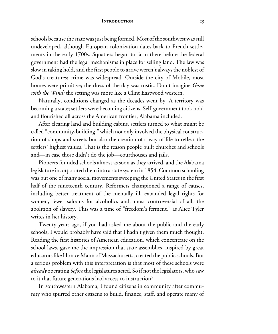schools because the state was just being formed. Most of the southwest was still undeveloped, although European colonization dates back to French settlements in the early 1700s. Squatters began to farm there before the federal government had the legal mechanisms in place for selling land. The law was slow in taking hold, and the first people to arrive weren't always the noblest of God's creatures; crime was widespread. Outside the city of Mobile, most homes were primitive; the dress of the day was rustic. Don't imagine *Gone with the Wind;* the setting was more like a Clint Eastwood western.

Naturally, conditions changed as the decades went by. A territory was becoming a state; settlers were becoming citizens. Self-government took hold and flourished all across the American frontier, Alabama included.

After clearing land and building cabins, settlers turned to what might be called "community-building," which not only involved the physical construction of shops and streets but also the creation of a way of life to reflect the settlers' highest values. That is the reason people built churches and schools and—in case those didn't do the job—courthouses and jails.

Pioneers founded schools almost as soon as they arrived, and the Alabama legislature incorporated them into a state system in 1854. Common schooling was but one of many social movements sweeping the United States in the first half of the nineteenth century. Reformers championed a range of causes, including better treatment of the mentally ill, expanded legal rights for women, fewer saloons for alcoholics and, most controversial of all, the abolition of slavery. This was a time of "freedom's ferment," as Alice Tyler writes in her history.

Twenty years ago, if you had asked me about the public and the early schools, I would probably have said that I hadn't given them much thought. Reading the first histories of American education, which concentrate on the school laws, gave me the impression that state assemblies, inspired by great educators like Horace Mann of Massachusetts, created the public schools. But a serious problem with this interpretation is that most of these schools were *already* operating *before* the legislatures acted. So if not the legislators, who saw to it that future generations had access to instruction?

In southwestern Alabama, I found citizens in community after community who spurred other citizens to build, finance, staff, and operate many of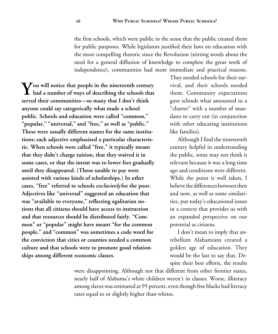the first schools, which were public in the sense that the public created them for public purposes. While legislators justified their laws on education with the most compelling rhetoric since the Revolution (stirring words about the need for a general diffusion of knowledge to complete the great work of independence), communities had more immediate and practical reasons.

**Y** ou will notice that people in the nineteenth century<br>had a number of ways of describing the schools that **had a number of ways of describing the schools that served their communities—so many that I don't think anyone could say categorically what made a school public. Schools and education were called "common," "popular," "universal," and "free," as well as "public." These were usually different names for the same institutions; each adjective emphasized a particular characteristic. When schools were called "free," it typically meant that they didn't charge tuition, that they waived it in some cases, or that the intent was to lower fees gradually until they disappeared. (Those unable to pay were assisted with various kinds of scholarships.) In other cases, "free" referred to schools** *exclusively* **for the poor. Adjectives like "universal" suggested an education that was "available to everyone," reflecting egalitarian notions that all citizens should have access to instruction and that resources should be distributed fairly. "Common" or "popular" might have meant "for the common people," and "common" was sometimes a code word for the conviction that cities or counties needed a common culture and that schools were to promote good relationships among different economic classes.**

They needed schools for their survival, and their schools needed them. Community expectations gave schools what amounted to a "charter" with a number of mandates to carry out (in conjunction with other educating institutions like families).

Although I find the nineteenth century helpful in understanding the public, some may not think it relevant because it was a long time ago and conditions were different. While the point is well taken, I believe the differences between then and now, as well as some similarities, put today's educational issues in a context that provides us with an expanded perspective on our potential as citizens.

I don't mean to imply that antebellum Alabamians created a golden age of education. They would be the last to say that. Despite their best efforts, the results

were disappointing. Although not that different from other frontier states, nearly half of Alabama's white children weren't in classes. Worse, illiteracy among slaves was estimated at 95 percent, even though free blacks had literacy rates equal to or slightly higher than whites.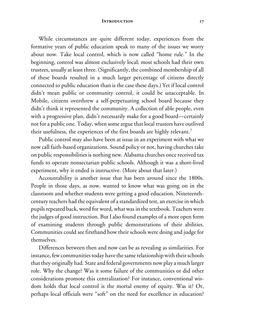While circumstances are quite different today, experiences from the formative years of public education speak to many of the issues we worry about now. Take local control, which is now called "home rule." In the beginning, control was almost exclusively local; most schools had their own trustees, usually at least three. (Significantly, the combined membership of all of these boards resulted in a much larger percentage of citizens directly connected to public education than is the case these days.) Yet if local control didn't mean public or community control, it could be unacceptable. In Mobile, citizens overthrew a self-perpetuating school board because they didn't think it represented the community. A collection of able people, even with a progressive plan, didn't necessarily make for a good board—certainly not for a public one. Today, when some argue that local trustees have outlived their usefulness, the experiences of the first boards are highly relevant.<sup>7</sup>

Public control may also have been at issue in an experiment with what we now call faith-based organizations. Sound policy or not, having churches take on public responsibilities is nothing new. Alabama churches once received tax funds to operate nonsectarian public schools. Although it was a short-lived experiment, why it ended is instructive. (More about that later.)

Accountability is another issue that has been around since the 1800s. People in those days, as now, wanted to know what was going on in the classroom and whether students were getting a good education. Nineteenthcentury teachers had the equivalent of a standardized test, an exercise in which pupils repeated back, word for word, what was in the textbook. Teachers were the judges of good instruction. But I also found examples of a more open form of examining students through public demonstrations of their abilities. Communities could see firsthand how their schools were doing and judge for themselves.

Differences between then and now can be as revealing as similarities. For instance, few communities today have the same relationship with their schools that they originally had. State and federal governments now play a much larger role. Why the change? Was it some failure of the communities or did other considerations promote this centralization? For instance, conventional wisdom holds that local control is the mortal enemy of equity. Was it? Or, perhaps local officials were "soft" on the need for excellence in education?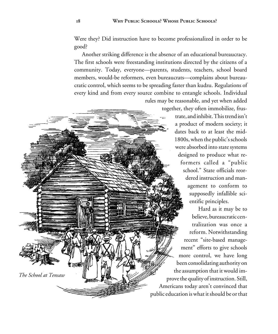Were they? Did instruction have to become professionalized in order to be good?

Another striking difference is the absence of an educational bureaucracy. The first schools were freestanding institutions directed by the citizens of a community. Today, everyone—parents, students, teachers, school board members, would-be reformers, even bureaucrats—complains about bureaucratic control, which seems to be spreading faster than kudzu. Regulations of every kind and from every source combine to entangle schools. Individual rules may be reasonable, and yet when added



together, they often immobilize, frustrate, and inhibit. This trend isn't a product of modern society; it dates back to at least the mid-1800s, when the public's schools were absorbed into state systems designed to produce what reformers called a "public school." State officials reor-

> dered instruction and management to conform to supposedly infallible scientific principles.

Hard as it may be to believe, bureaucratic centralization was once a reform. Notwithstanding recent "site-based management" efforts to give schools more control, we have long been consolidating authority on the assumption that it would improve the quality of instruction. Still, Americans today aren't convinced that public education is what it should be or that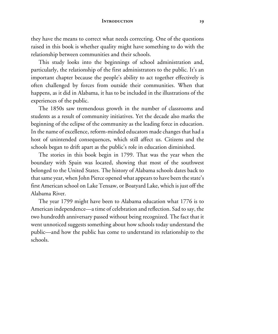they have the means to correct what needs correcting. One of the questions raised in this book is whether quality might have something to do with the relationship between communities and their schools.

This study looks into the beginnings of school administration and, particularly, the relationship of the first administrators to the public. It's an important chapter because the people's ability to act together effectively is often challenged by forces from outside their communities. When that happens, as it did in Alabama, it has to be included in the illustrations of the experiences of the public.

The 1850s saw tremendous growth in the number of classrooms and students as a result of community initiatives. Yet the decade also marks the beginning of the eclipse of the community as the leading force in education. In the name of excellence, reform-minded educators made changes that had a host of unintended consequences, which still affect us. Citizens and the schools began to drift apart as the public's role in education diminished.

The stories in this book begin in 1799. That was the year when the boundary with Spain was located, showing that most of the southwest belonged to the United States. The history of Alabama schools dates back to that same year, when John Pierce opened what appears to have been the state's first American school on Lake Tensaw, or Boatyard Lake, which is just off the Alabama River.

The year 1799 might have been to Alabama education what 1776 is to American independence—a time of celebration and reflection. Sad to say, the two hundredth anniversary passed without being recognized. The fact that it went unnoticed suggests something about how schools today understand the public—and how the public has come to understand its relationship to the schools.